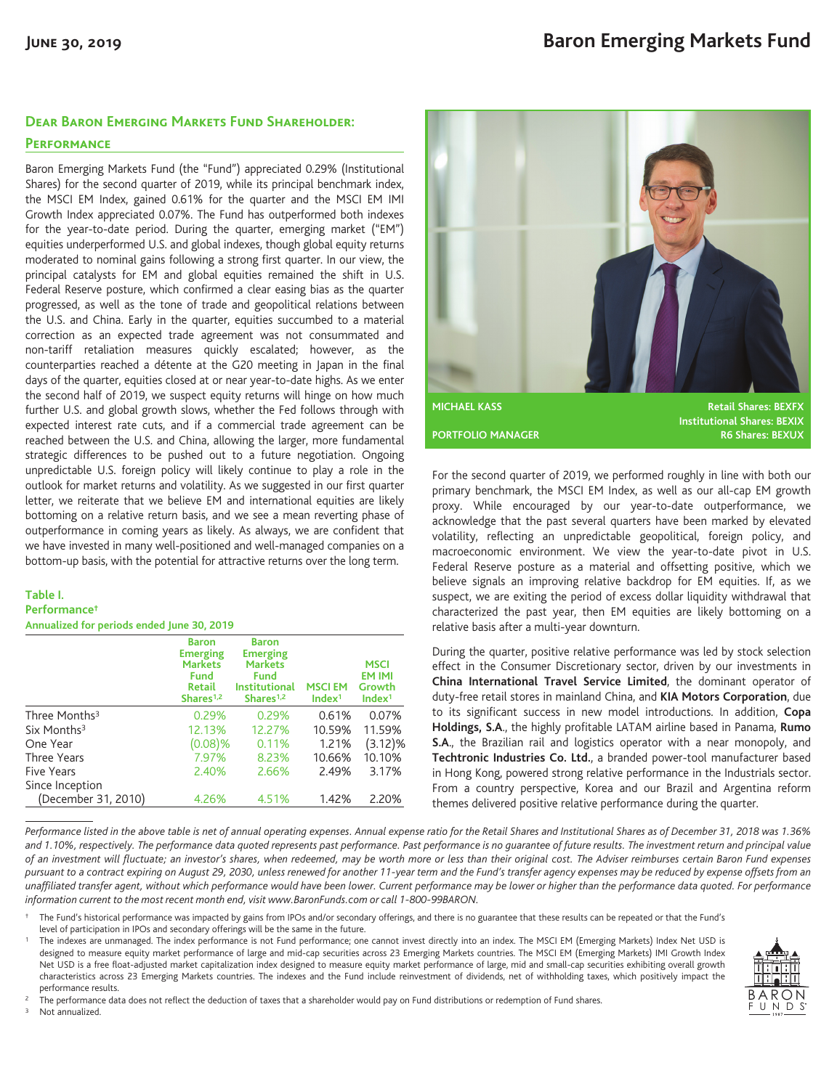### **Dear Baron Emerging Markets Fund Shareholder:**

## **Performance**

Baron Emerging Markets Fund (the "Fund") appreciated 0.29% (Institutional Shares) for the second quarter of 2019, while its principal benchmark index, the MSCI EM Index, gained 0.61% for the quarter and the MSCI EM IMI Growth Index appreciated 0.07%. The Fund has outperformed both indexes for the year-to-date period. During the quarter, emerging market ("EM") equities underperformed U.S. and global indexes, though global equity returns moderated to nominal gains following a strong first quarter. In our view, the principal catalysts for EM and global equities remained the shift in U.S. Federal Reserve posture, which confirmed a clear easing bias as the quarter progressed, as well as the tone of trade and geopolitical relations between the U.S. and China. Early in the quarter, equities succumbed to a material correction as an expected trade agreement was not consummated and non-tariff retaliation measures quickly escalated; however, as the counterparties reached a détente at the G20 meeting in Japan in the final days of the quarter, equities closed at or near year-to-date highs. As we enter the second half of 2019, we suspect equity returns will hinge on how much further U.S. and global growth slows, whether the Fed follows through with expected interest rate cuts, and if a commercial trade agreement can be reached between the U.S. and China, allowing the larger, more fundamental strategic differences to be pushed out to a future negotiation. Ongoing unpredictable U.S. foreign policy will likely continue to play a role in the outlook for market returns and volatility. As we suggested in our first quarter letter, we reiterate that we believe EM and international equities are likely bottoming on a relative return basis, and we see a mean reverting phase of outperformance in coming years as likely. As always, we are confident that we have invested in many well-positioned and well-managed companies on a bottom-up basis, with the potential for attractive returns over the long term.

#### **Table I. Performance† Annualized for periods ended June 30, 2019**

**Baron Emerging Markets Fund Retail Shares1,2 Baron Emerging Markets Fund Institutional Shares1,2 MSCI EM Index1 MSCI EM IMI Growth Index1** Three Months3 0.29% 0.29% 0.61% 0.07% Six Months3 12.13% 12.27% 10.59% 11.59% One Year (0.08)% 0.11% 1.21% (3.12)% Three Years 7.97% 8.23% 10.66% 10.10% Five Years 2.40% 2.66% 2.49% 3.17% Since Inception (December 31, 2010) 4.26% 4.51% 1.42% 2.20%



For the second quarter of 2019, we performed roughly in line with both our primary benchmark, the MSCI EM Index, as well as our all-cap EM growth proxy. While encouraged by our year-to-date outperformance, we acknowledge that the past several quarters have been marked by elevated volatility, reflecting an unpredictable geopolitical, foreign policy, and macroeconomic environment. We view the year-to-date pivot in U.S. Federal Reserve posture as a material and offsetting positive, which we believe signals an improving relative backdrop for EM equities. If, as we suspect, we are exiting the period of excess dollar liquidity withdrawal that characterized the past year, then EM equities are likely bottoming on a relative basis after a multi-year downturn.

During the quarter, positive relative performance was led by stock selection effect in the Consumer Discretionary sector, driven by our investments in **China International Travel Service Limited**, the dominant operator of duty-free retail stores in mainland China, and **KIA Motors Corporation**, due to its significant success in new model introductions. In addition, **Copa Holdings, S.A**., the highly profitable LATAM airline based in Panama, **Rumo S.A**., the Brazilian rail and logistics operator with a near monopoly, and **Techtronic Industries Co. Ltd.**, a branded power-tool manufacturer based in Hong Kong, powered strong relative performance in the Industrials sector. From a country perspective, Korea and our Brazil and Argentina reform themes delivered positive relative performance during the quarter.

*Performance listed in the above table is net of annual operating expenses. Annual expense ratio for the Retail Shares and Institutional Shares as of December 31, 2018 was 1.36% and 1.10%, respectively. The performance data quoted represents past performance. Past performance is no guarantee of future results. The investment return and principal value of an investment will fluctuate; an investor's shares, when redeemed, may be worth more or less than their original cost. The Adviser reimburses certain Baron Fund expenses pursuant to a contract expiring on August 29, 2030, unless renewed for another 11-year term and the Fund's transfer agency expenses may be reduced by expense offsets from an unaffiliated transfer agent, without which performance would have been lower. Current performance may be lower or higher than the performance data quoted. For performance information current to the most recent month end, visit www.BaronFunds.com or call 1-800-99BARON.*

† The Fund's historical performance was impacted by gains from IPOs and/or secondary offerings, and there is no guarantee that these results can be repeated or that the Fund's level of participation in IPOs and secondary offerings will be the same in the future.

<sup>1</sup> The indexes are unmanaged. The index performance is not Fund performance; one cannot invest directly into an index. The MSCI EM (Emerging Markets) Index Net USD is designed to measure equity market performance of large and mid-cap securities across 23 Emerging Markets countries. The MSCI EM (Emerging Markets) IMI Growth Index Net USD is a free float-adjusted market capitalization index designed to measure equity market performance of large, mid and small-cap securities exhibiting overall growth characteristics across 23 Emerging Markets countries. The indexes and the Fund include reinvestment of dividends, net of withholding taxes, which positively impact the performance results.



Not annualized.

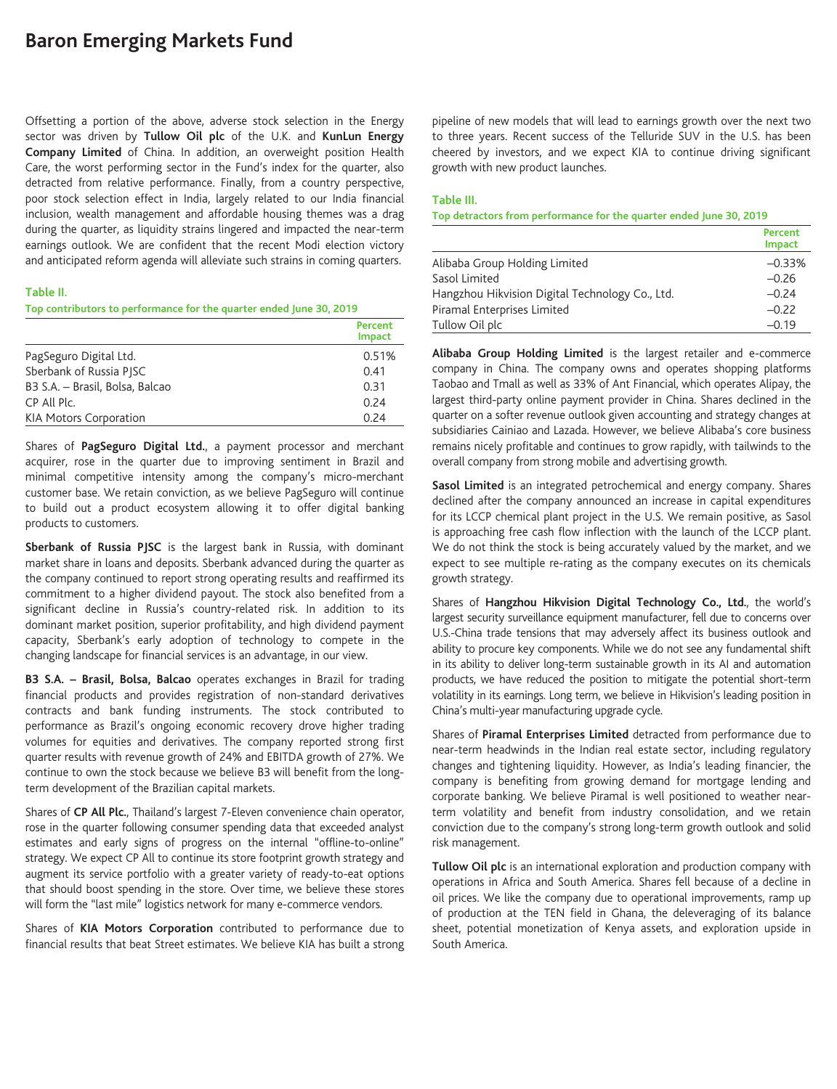# **Baron Emerging Markets Fund**

Offsetting a portion of the above, adverse stock selection in the Energy sector was driven by **Tullow Oil plc** of the U.K. and **KunLun Energy Company Limited** of China. In addition, an overweight position Health Care, the worst performing sector in the Fund's index for the quarter, also detracted from relative performance. Finally, from a country perspective, poor stock selection effect in India, largely related to our India financial inclusion, wealth management and affordable housing themes was a drag during the quarter, as liquidity strains lingered and impacted the near-term earnings outlook. We are confident that the recent Modi election victory and anticipated reform agenda will alleviate such strains in coming quarters.

#### **Table II.**

#### **Top contributors to performance for the quarter ended June 30, 2019**

|                                 | Percent<br><b>Impact</b> |
|---------------------------------|--------------------------|
| PagSeguro Digital Ltd.          | 0.51%                    |
| Sberbank of Russia PISC         | 0.41                     |
| B3 S.A. - Brasil, Bolsa, Balcao | 0.31                     |
| CP All Plc.                     | 0.24                     |
| <b>KIA Motors Corporation</b>   | 0.24                     |

Shares of **PagSeguro Digital Ltd.**, a payment processor and merchant acquirer, rose in the quarter due to improving sentiment in Brazil and minimal competitive intensity among the company's micro-merchant customer base. We retain conviction, as we believe PagSeguro will continue to build out a product ecosystem allowing it to offer digital banking products to customers.

**Sberbank of Russia PJSC** is the largest bank in Russia, with dominant market share in loans and deposits. Sberbank advanced during the quarter as the company continued to report strong operating results and reaffirmed its commitment to a higher dividend payout. The stock also benefited from a significant decline in Russia's country-related risk. In addition to its dominant market position, superior profitability, and high dividend payment capacity, Sberbank's early adoption of technology to compete in the changing landscape for financial services is an advantage, in our view.

**B3 S.A. – Brasil, Bolsa, Balcao** operates exchanges in Brazil for trading financial products and provides registration of non-standard derivatives contracts and bank funding instruments. The stock contributed to performance as Brazil's ongoing economic recovery drove higher trading volumes for equities and derivatives. The company reported strong first quarter results with revenue growth of 24% and EBITDA growth of 27%. We continue to own the stock because we believe B3 will benefit from the longterm development of the Brazilian capital markets.

Shares of **CP All Plc.**, Thailand's largest 7-Eleven convenience chain operator, rose in the quarter following consumer spending data that exceeded analyst estimates and early signs of progress on the internal "offline-to-online" strategy. We expect CP All to continue its store footprint growth strategy and augment its service portfolio with a greater variety of ready-to-eat options that should boost spending in the store. Over time, we believe these stores will form the "last mile" logistics network for many e-commerce vendors.

Shares of **KIA Motors Corporation** contributed to performance due to financial results that beat Street estimates. We believe KIA has built a strong pipeline of new models that will lead to earnings growth over the next two to three years. Recent success of the Telluride SUV in the U.S. has been cheered by investors, and we expect KIA to continue driving significant growth with new product launches.

#### **Table III.**

**Top detractors from performance for the quarter ended June 30, 2019**

|                                                 | Percent<br><b>Impact</b> |
|-------------------------------------------------|--------------------------|
| Alibaba Group Holding Limited                   | $-0.33%$                 |
| Sasol Limited                                   | $-0.26$                  |
| Hangzhou Hikvision Digital Technology Co., Ltd. | $-0.24$                  |
| Piramal Enterprises Limited                     | $-0.22$                  |
| Tullow Oil plc                                  | $-0.19$                  |

**Alibaba Group Holding Limited** is the largest retailer and e-commerce company in China. The company owns and operates shopping platforms Taobao and Tmall as well as 33% of Ant Financial, which operates Alipay, the largest third-party online payment provider in China. Shares declined in the quarter on a softer revenue outlook given accounting and strategy changes at subsidiaries Cainiao and Lazada. However, we believe Alibaba's core business remains nicely profitable and continues to grow rapidly, with tailwinds to the overall company from strong mobile and advertising growth.

**Sasol Limited** is an integrated petrochemical and energy company. Shares declined after the company announced an increase in capital expenditures for its LCCP chemical plant project in the U.S. We remain positive, as Sasol is approaching free cash flow inflection with the launch of the LCCP plant. We do not think the stock is being accurately valued by the market, and we expect to see multiple re-rating as the company executes on its chemicals growth strategy.

Shares of **Hangzhou Hikvision Digital Technology Co., Ltd.**, the world's largest security surveillance equipment manufacturer, fell due to concerns over U.S.-China trade tensions that may adversely affect its business outlook and ability to procure key components. While we do not see any fundamental shift in its ability to deliver long-term sustainable growth in its AI and automation products, we have reduced the position to mitigate the potential short-term volatility in its earnings. Long term, we believe in Hikvision's leading position in China's multi-year manufacturing upgrade cycle.

Shares of **Piramal Enterprises Limited** detracted from performance due to near-term headwinds in the Indian real estate sector, including regulatory changes and tightening liquidity. However, as India's leading financier, the company is benefiting from growing demand for mortgage lending and corporate banking. We believe Piramal is well positioned to weather nearterm volatility and benefit from industry consolidation, and we retain conviction due to the company's strong long-term growth outlook and solid risk management.

**Tullow Oil plc** is an international exploration and production company with operations in Africa and South America. Shares fell because of a decline in oil prices. We like the company due to operational improvements, ramp up of production at the TEN field in Ghana, the deleveraging of its balance sheet, potential monetization of Kenya assets, and exploration upside in South America.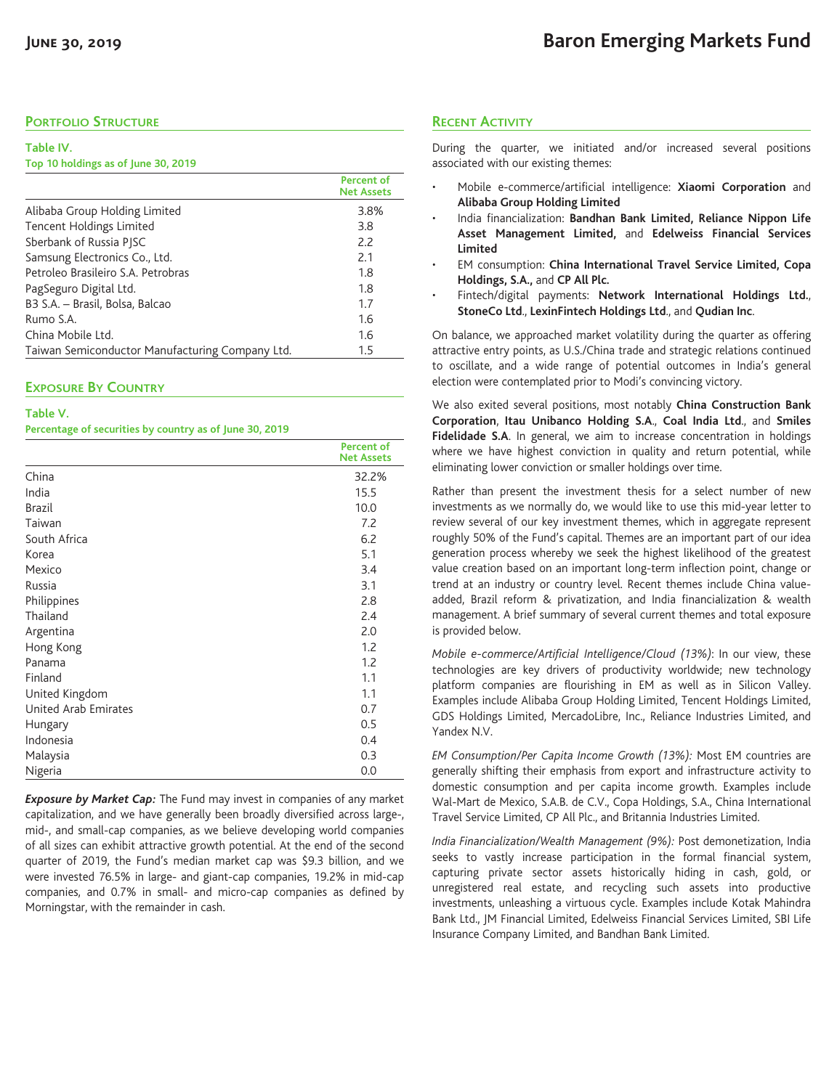## **PORTFOLIO STRUCTURE**

#### **Table IV.**

#### **Top 10 holdings as of June 30, 2019**

|                                                 | <b>Percent of</b><br><b>Net Assets</b> |
|-------------------------------------------------|----------------------------------------|
| Alibaba Group Holding Limited                   | 3.8%                                   |
| Tencent Holdings Limited                        | 3.8                                    |
| Sberbank of Russia PISC                         | 2.2                                    |
| Samsung Electronics Co., Ltd.                   | 2.1                                    |
| Petroleo Brasileiro S.A. Petrobras              | 1.8                                    |
| PagSeguro Digital Ltd.                          | 1.8                                    |
| B3 S.A. - Brasil, Bolsa, Balcao                 | 1.7                                    |
| Rumo S.A.                                       | 1.6                                    |
| China Mobile Ltd.                               | 1.6                                    |
| Taiwan Semiconductor Manufacturing Company Ltd. | $1.5\,$                                |

### **EXPOSURE BY COUNTRY**

| Table V.                                                |  |
|---------------------------------------------------------|--|
| Percentage of securities by country as of June 30, 2019 |  |

|                      | <b>Percent of</b><br><b>Net Assets</b> |
|----------------------|----------------------------------------|
| China                | 32.2%                                  |
| India                | 15.5                                   |
| <b>Brazil</b>        | 10.0                                   |
| Taiwan               | 7.2                                    |
| South Africa         | 6.2                                    |
| Korea                | 5.1                                    |
| Mexico               | 3.4                                    |
| Russia               | 3.1                                    |
| Philippines          | 2.8                                    |
| Thailand             | 2.4                                    |
| Argentina            | 2.0                                    |
| Hong Kong            | 1.2                                    |
| Panama               | 1.2                                    |
| Finland              | 1.1                                    |
| United Kingdom       | 1.1                                    |
| United Arab Emirates | 0.7                                    |
| Hungary              | 0.5                                    |
| Indonesia            | 0.4                                    |
| Malaysia             | 0.3                                    |
| Nigeria              | 0.0                                    |

*Exposure by Market Cap:* The Fund may invest in companies of any market capitalization, and we have generally been broadly diversified across large-, mid-, and small-cap companies, as we believe developing world companies of all sizes can exhibit attractive growth potential. At the end of the second quarter of 2019, the Fund's median market cap was \$9.3 billion, and we were invested 76.5% in large- and giant-cap companies, 19.2% in mid-cap companies, and 0.7% in small- and micro-cap companies as defined by Morningstar, with the remainder in cash.

### **RECENT ACTIVITY**

During the quarter, we initiated and/or increased several positions associated with our existing themes:

- Mobile e-commerce/artificial intelligence: **Xiaomi Corporation** and **Alibaba Group Holding Limited**
- India financialization: **Bandhan Bank Limited, Reliance Nippon Life Asset Management Limited,** and **Edelweiss Financial Services Limited**
- EM consumption: **China International Travel Service Limited, Copa Holdings, S.A.,** and **CP All Plc.**
- Fintech/digital payments: **Network International Holdings Ltd.**, **StoneCo Ltd**., **LexinFintech Holdings Ltd**., and **Qudian Inc**.

On balance, we approached market volatility during the quarter as offering attractive entry points, as U.S./China trade and strategic relations continued to oscillate, and a wide range of potential outcomes in India's general election were contemplated prior to Modi's convincing victory.

We also exited several positions, most notably **China Construction Bank Corporation**, **Itau Unibanco Holding S.A**., **Coal India Ltd**., and **Smiles Fidelidade S.A**. In general, we aim to increase concentration in holdings where we have highest conviction in quality and return potential, while eliminating lower conviction or smaller holdings over time.

Rather than present the investment thesis for a select number of new investments as we normally do, we would like to use this mid-year letter to review several of our key investment themes, which in aggregate represent roughly 50% of the Fund's capital. Themes are an important part of our idea generation process whereby we seek the highest likelihood of the greatest value creation based on an important long-term inflection point, change or trend at an industry or country level. Recent themes include China valueadded, Brazil reform & privatization, and India financialization & wealth management. A brief summary of several current themes and total exposure is provided below.

*Mobile e-commerce/Artificial Intelligence/Cloud (13%)*: In our view, these technologies are key drivers of productivity worldwide; new technology platform companies are flourishing in EM as well as in Silicon Valley. Examples include Alibaba Group Holding Limited, Tencent Holdings Limited, GDS Holdings Limited, MercadoLibre, Inc., Reliance Industries Limited, and Yandex N.V.

*EM Consumption/Per Capita Income Growth (13%):* Most EM countries are generally shifting their emphasis from export and infrastructure activity to domestic consumption and per capita income growth. Examples include Wal-Mart de Mexico, S.A.B. de C.V., Copa Holdings, S.A., China International Travel Service Limited, CP All Plc., and Britannia Industries Limited.

*India Financialization/Wealth Management (9%):* Post demonetization, India seeks to vastly increase participation in the formal financial system, capturing private sector assets historically hiding in cash, gold, or unregistered real estate, and recycling such assets into productive investments, unleashing a virtuous cycle. Examples include Kotak Mahindra Bank Ltd., JM Financial Limited, Edelweiss Financial Services Limited, SBI Life Insurance Company Limited, and Bandhan Bank Limited.